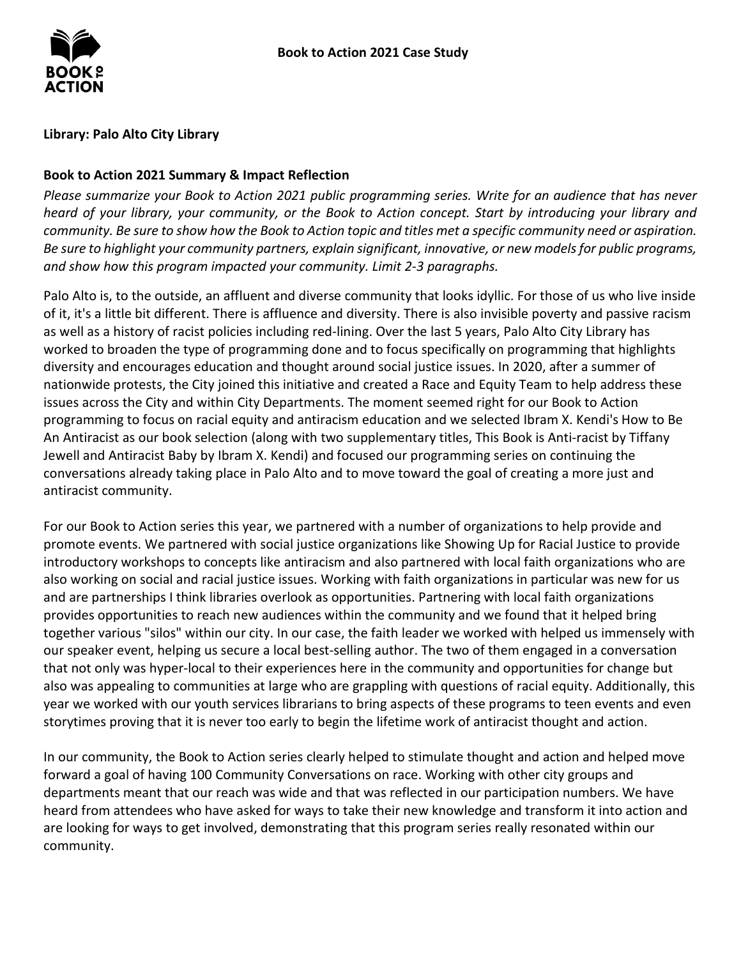

### **Library: Palo Alto City Library**

## **Book to Action 2021 Summary & Impact Reflection**

*Please summarize your Book to Action 2021 public programming series. Write for an audience that has never heard of your library, your community, or the Book to Action concept. Start by introducing your library and community. Be sure to show how the Book to Action topic and titles met a specific community need or aspiration. Be sure to highlight your community partners, explain significant, innovative, or new models for public programs, and show how this program impacted your community. Limit 2-3 paragraphs.* 

 worked to broaden the type of programming done and to focus specifically on programming that highlights programming to focus on racial equity and antiracism education and we selected Ibram X. Kendi's How to Be Palo Alto is, to the outside, an affluent and diverse community that looks idyllic. For those of us who live inside of it, it's a little bit different. There is affluence and diversity. There is also invisible poverty and passive racism as well as a history of racist policies including red-lining. Over the last 5 years, Palo Alto City Library has diversity and encourages education and thought around social justice issues. In 2020, after a summer of nationwide protests, the City joined this initiative and created a Race and Equity Team to help address these issues across the City and within City Departments. The moment seemed right for our Book to Action An Antiracist as our book selection (along with two supplementary titles, This Book is Anti-racist by Tiffany Jewell and Antiracist Baby by Ibram X. Kendi) and focused our programming series on continuing the conversations already taking place in Palo Alto and to move toward the goal of creating a more just and antiracist community.

 For our Book to Action series this year, we partnered with a number of organizations to help provide and promote events. We partnered with social justice organizations like Showing Up for Racial Justice to provide introductory workshops to concepts like antiracism and also partnered with local faith organizations who are also working on social and racial justice issues. Working with faith organizations in particular was new for us together various "silos" within our city. In our case, the faith leader we worked with helped us immensely with that not only was hyper-local to their experiences here in the community and opportunities for change but also was appealing to communities at large who are grappling with questions of racial equity. Additionally, this storytimes proving that it is never too early to begin the lifetime work of antiracist thought and action. and are partnerships I think libraries overlook as opportunities. Partnering with local faith organizations provides opportunities to reach new audiences within the community and we found that it helped bring our speaker event, helping us secure a local best-selling author. The two of them engaged in a conversation year we worked with our youth services librarians to bring aspects of these programs to teen events and even

 departments meant that our reach was wide and that was reflected in our participation numbers. We have heard from attendees who have asked for ways to take their new knowledge and transform it into action and In our community, the Book to Action series clearly helped to stimulate thought and action and helped move forward a goal of having 100 Community Conversations on race. Working with other city groups and are looking for ways to get involved, demonstrating that this program series really resonated within our community.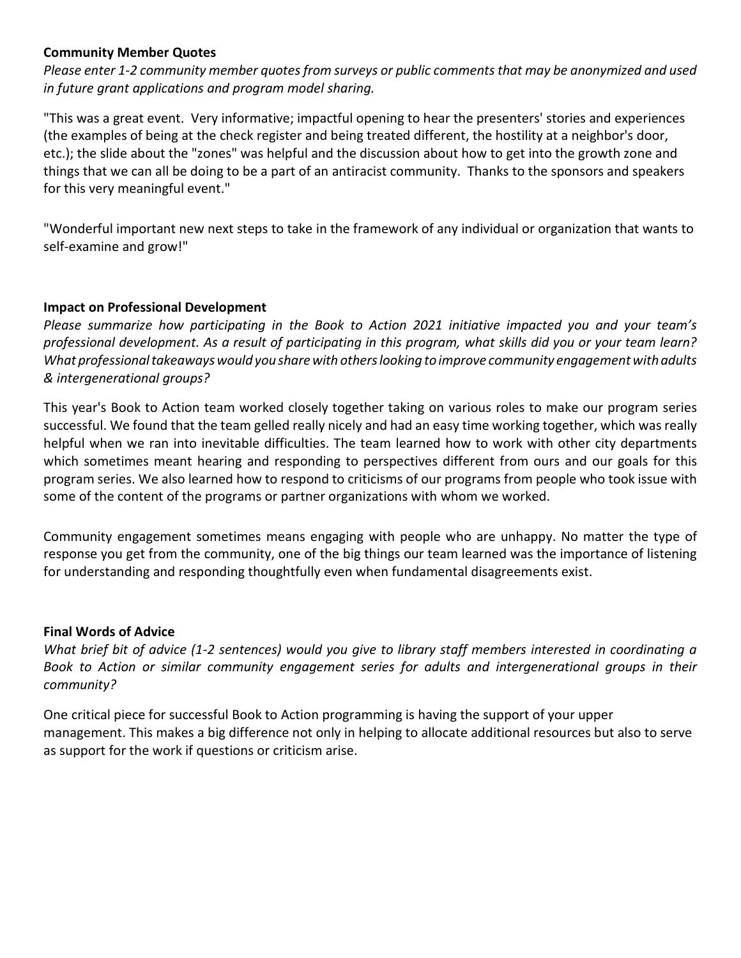## **Community Member Quotes**

*Please enter 1-2 community member quotes from surveys or public comments that may be anonymized and used in future grant applications and program model sharing.* 

 "This was a great event. Very informative; impactful opening to hear the presenters' stories and experiences (the examples of being at the check register and being treated different, the hostility at a neighbor's door, etc.); the slide about the "zones" was helpful and the discussion about how to get into the growth zone and things that we can all be doing to be a part of an antiracist community. Thanks to the sponsors and speakers for this very meaningful event."

"Wonderful important new next steps to take in the framework of any individual or organization that wants to self-examine and grow!"

#### **Impact on Professional Development**

 *What professional takeaways would you share with others looking to improve community engagement with adults & intergenerational groups? Please summarize how participating in the Book to Action 2021 initiative impacted you and your team's professional development. As a result of participating in this program, what skills did you or your team learn?* 

 This year's Book to Action team worked closely together taking on various roles to make our program series successful. We found that the team gelled really nicely and had an easy time working together, which was really helpful when we ran into inevitable difficulties. The team learned how to work with other city departments some of the content of the programs or partner organizations with whom we worked. which sometimes meant hearing and responding to perspectives different from ours and our goals for this program series. We also learned how to respond to criticisms of our programs from people who took issue with

 Community engagement sometimes means engaging with people who are unhappy. No matter the type of response you get from the community, one of the big things our team learned was the importance of listening for understanding and responding thoughtfully even when fundamental disagreements exist.

#### **Final Words of Advice**

*What brief bit of advice (1-2 sentences) would you give to library staff members interested in coordinating a Book to Action or similar community engagement series for adults and intergenerational groups in their community?* 

 management. This makes a big difference not only in helping to allocate additional resources but also to serve One critical piece for successful Book to Action programming is having the support of your upper as support for the work if questions or criticism arise.